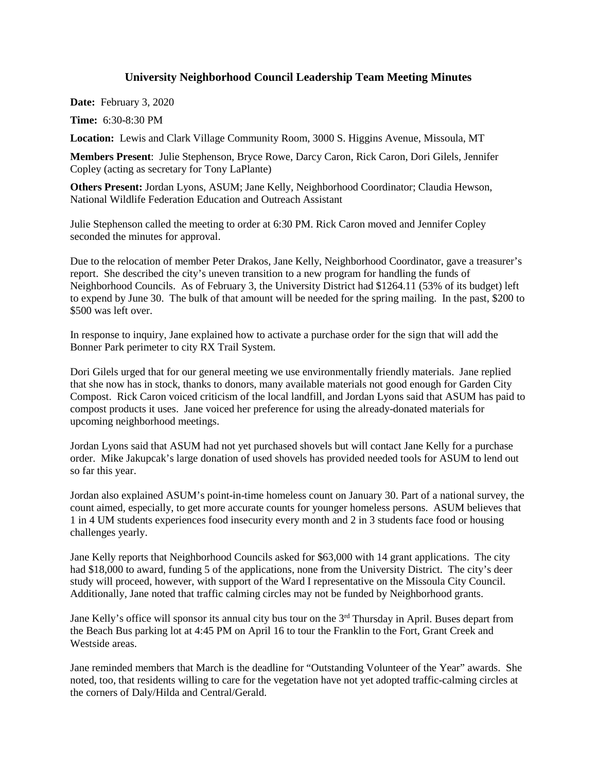## **University Neighborhood Council Leadership Team Meeting Minutes**

**Date:** February 3, 2020

**Time:** 6:30-8:30 PM

**Location:** Lewis and Clark Village Community Room, 3000 S. Higgins Avenue, Missoula, MT

**Members Present**: Julie Stephenson, Bryce Rowe, Darcy Caron, Rick Caron, Dori Gilels, Jennifer Copley (acting as secretary for Tony LaPlante)

**Others Present:** Jordan Lyons, ASUM; Jane Kelly, Neighborhood Coordinator; Claudia Hewson, National Wildlife Federation Education and Outreach Assistant

Julie Stephenson called the meeting to order at 6:30 PM. Rick Caron moved and Jennifer Copley seconded the minutes for approval.

Due to the relocation of member Peter Drakos, Jane Kelly, Neighborhood Coordinator, gave a treasurer's report. She described the city's uneven transition to a new program for handling the funds of Neighborhood Councils. As of February 3, the University District had \$1264.11 (53% of its budget) left to expend by June 30. The bulk of that amount will be needed for the spring mailing. In the past, \$200 to \$500 was left over.

In response to inquiry, Jane explained how to activate a purchase order for the sign that will add the Bonner Park perimeter to city RX Trail System.

Dori Gilels urged that for our general meeting we use environmentally friendly materials. Jane replied that she now has in stock, thanks to donors, many available materials not good enough for Garden City Compost. Rick Caron voiced criticism of the local landfill, and Jordan Lyons said that ASUM has paid to compost products it uses. Jane voiced her preference for using the already-donated materials for upcoming neighborhood meetings.

Jordan Lyons said that ASUM had not yet purchased shovels but will contact Jane Kelly for a purchase order. Mike Jakupcak's large donation of used shovels has provided needed tools for ASUM to lend out so far this year.

Jordan also explained ASUM's point-in-time homeless count on January 30. Part of a national survey, the count aimed, especially, to get more accurate counts for younger homeless persons. ASUM believes that 1 in 4 UM students experiences food insecurity every month and 2 in 3 students face food or housing challenges yearly.

Jane Kelly reports that Neighborhood Councils asked for \$63,000 with 14 grant applications. The city had \$18,000 to award, funding 5 of the applications, none from the University District. The city's deer study will proceed, however, with support of the Ward I representative on the Missoula City Council. Additionally, Jane noted that traffic calming circles may not be funded by Neighborhood grants.

Jane Kelly's office will sponsor its annual city bus tour on the 3<sup>rd</sup> Thursday in April. Buses depart from the Beach Bus parking lot at 4:45 PM on April 16 to tour the Franklin to the Fort, Grant Creek and Westside areas.

Jane reminded members that March is the deadline for "Outstanding Volunteer of the Year" awards. She noted, too, that residents willing to care for the vegetation have not yet adopted traffic-calming circles at the corners of Daly/Hilda and Central/Gerald.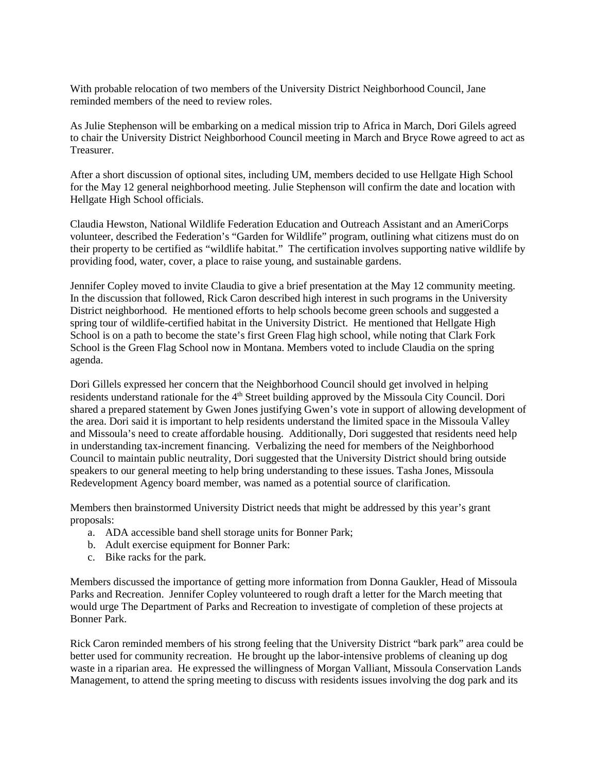With probable relocation of two members of the University District Neighborhood Council, Jane reminded members of the need to review roles.

As Julie Stephenson will be embarking on a medical mission trip to Africa in March, Dori Gilels agreed to chair the University District Neighborhood Council meeting in March and Bryce Rowe agreed to act as Treasurer.

After a short discussion of optional sites, including UM, members decided to use Hellgate High School for the May 12 general neighborhood meeting. Julie Stephenson will confirm the date and location with Hellgate High School officials.

Claudia Hewston, National Wildlife Federation Education and Outreach Assistant and an AmeriCorps volunteer, described the Federation's "Garden for Wildlife" program, outlining what citizens must do on their property to be certified as "wildlife habitat." The certification involves supporting native wildlife by providing food, water, cover, a place to raise young, and sustainable gardens.

Jennifer Copley moved to invite Claudia to give a brief presentation at the May 12 community meeting. In the discussion that followed, Rick Caron described high interest in such programs in the University District neighborhood. He mentioned efforts to help schools become green schools and suggested a spring tour of wildlife-certified habitat in the University District. He mentioned that Hellgate High School is on a path to become the state's first Green Flag high school, while noting that Clark Fork School is the Green Flag School now in Montana. Members voted to include Claudia on the spring agenda.

Dori Gillels expressed her concern that the Neighborhood Council should get involved in helping residents understand rationale for the 4<sup>th</sup> Street building approved by the Missoula City Council. Dori shared a prepared statement by Gwen Jones justifying Gwen's vote in support of allowing development of the area. Dori said it is important to help residents understand the limited space in the Missoula Valley and Missoula's need to create affordable housing. Additionally, Dori suggested that residents need help in understanding tax-increment financing. Verbalizing the need for members of the Neighborhood Council to maintain public neutrality, Dori suggested that the University District should bring outside speakers to our general meeting to help bring understanding to these issues. Tasha Jones, Missoula Redevelopment Agency board member, was named as a potential source of clarification.

Members then brainstormed University District needs that might be addressed by this year's grant proposals:

- a. ADA accessible band shell storage units for Bonner Park;
- b. Adult exercise equipment for Bonner Park:
- c. Bike racks for the park.

Members discussed the importance of getting more information from Donna Gaukler, Head of Missoula Parks and Recreation. Jennifer Copley volunteered to rough draft a letter for the March meeting that would urge The Department of Parks and Recreation to investigate of completion of these projects at Bonner Park.

Rick Caron reminded members of his strong feeling that the University District "bark park" area could be better used for community recreation. He brought up the labor-intensive problems of cleaning up dog waste in a riparian area. He expressed the willingness of Morgan Valliant, Missoula Conservation Lands Management, to attend the spring meeting to discuss with residents issues involving the dog park and its